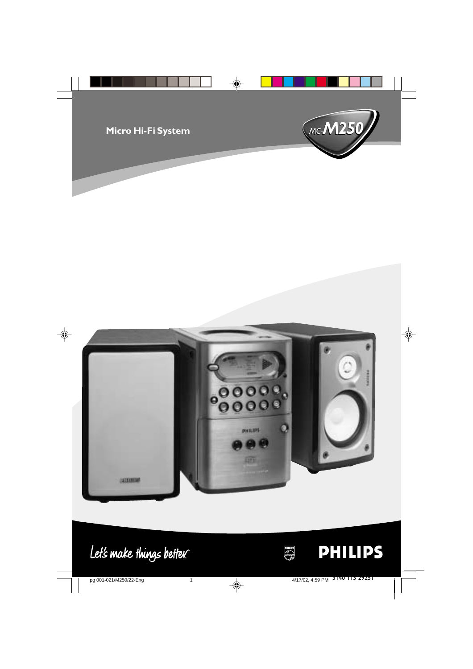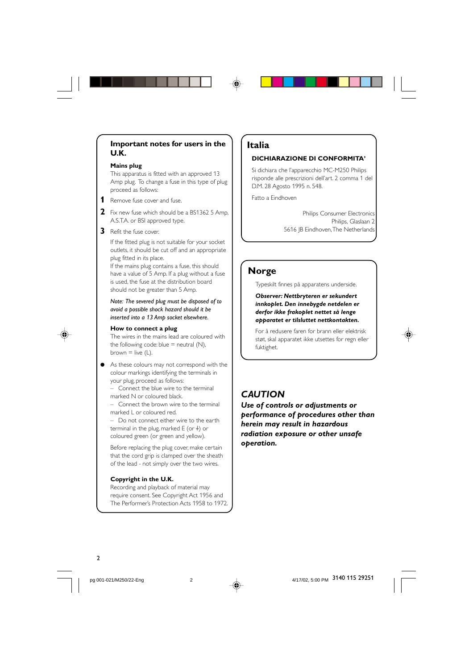## **Important notes for users in the U.K.**

#### **Mains plug**

This apparatus is fitted with an approved 13 Amp plug. To change a fuse in this type of plug proceed as follows:

- **1** Remove fuse cover and fuse.
- **2** Fix new fuse which should be a BS1362 5 Amp, A.S.T.A. or BSI approved type.
- **3** Refit the fuse cover.

If the fitted plug is not suitable for your socket outlets, it should be cut off and an appropriate plug fitted in its place.

If the mains plug contains a fuse, this should have a value of 5 Amp. If a plug without a fuse is used, the fuse at the distribution board should not be greater than 5 Amp.

*Note: The severed plug must be disposed of to avoid a possible shock hazard should it be inserted into a 13 Amp socket elsewhere.*

#### **How to connect a plug**

The wires in the mains lead are coloured with the following code: blue  $=$  neutral (N), brown  $=$  live (L).

As these colours may not correspond with the colour markings identifying the terminals in your plug, proceed as follows:

– Connect the blue wire to the terminal marked N or coloured black.

– Connect the brown wire to the terminal marked L or coloured red.

– Do not connect either wire to the earth terminal in the plug, marked E (or  $\frac{1}{2}$ ) or coloured green (or green and yellow).

Before replacing the plug cover, make certain that the cord grip is clamped over the sheath of the lead - not simply over the two wires.

#### **Copyright in the U.K.**

Recording and playback of material may require consent. See Copyright Act 1956 and The Performer's Protection Acts 1958 to 1972.

## **Italia**

### **DICHIARAZIONE DI CONFORMITA'**

Si dichiara che l'apparecchio MC-M250 Philips risponde alle prescrizioni dell'art. 2 comma 1 del D.M. 28 Agosto 1995 n. 548.

Fatto a Eindhoven

Philips Consumer Electronics Philips, Glaslaan 2 5616 JB Eindhoven, The Netherlands

## **Norge**

Typeskilt finnes på apparatens underside.

*Observer: Nettbryteren er sekundert innkoplet. Den innebygde netdelen er derfor ikke frakoplet nettet så lenge apparatet er tilsluttet nettkontakten.*

For å redusere faren for brann eller elektrisk støt, skal apparatet ikke utsettes for regn eller fuktighet.

# *CAUTION*

*Use of controls or adjustments or performance of procedures other than herein may result in hazardous radiation exposure or other unsafe operation.*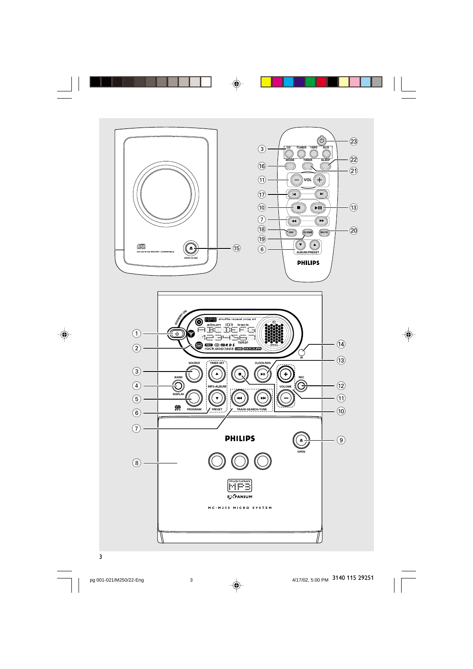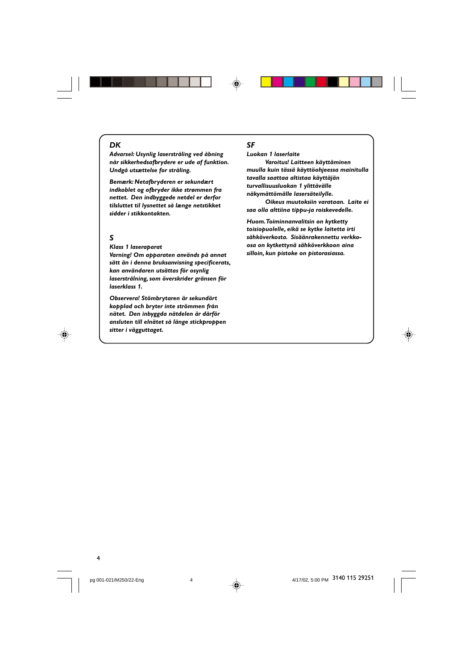## *DK*

*Advarsel: Usynlig laserstråling ved åbning når sikkerhedsafbrydere er ude af funktion. Undgå utsættelse for stråling.*

*Bemærk: Netafbryderen er sekundært indkoblet og ofbryder ikke strømmen fra nettet. Den indbyggede netdel er derfor tilsluttet til lysnettet så længe netstikket sidder i stikkontakten.*

## *S*

#### *Klass 1 laseraparat*

*Varning! Om apparaten används på annat sätt än i denna bruksanvisning specificerats, kan användaren utsättas för osynlig laserstrålning, som överskrider gränsen för laserklass 1.*

*Observera! Stömbrytaren är sekundärt kopplad och bryter inte strömmen från nätet. Den inbyggda nätdelen är därför ansluten till elnätet så länge stickproppen sitter i vägguttaget.*

## *SF*

◈

*Luokan 1 laserlaite*

*Varoitus! Laitteen käyttäminen muulla kuin tässä käyttöohjeessa mainitulla tavalla saattaa altistaa käyttäjän turvallisuusluokan 1 ylittävälle näkymättömälle lasersäteilylle.*

*Oikeus muutoksiin varataan. Laite ei saa olla alttiina tippu-ja roiskevedelle.*

*Huom. Toiminnanvalitsin on kytketty toisiopuolelle, eikä se kytke laitetta irti sähköverkosta. Sisäänrakennettu verkkoosa on kytkettynä sähköverkkoon aina silloin, kun pistoke on pistorasiassa.*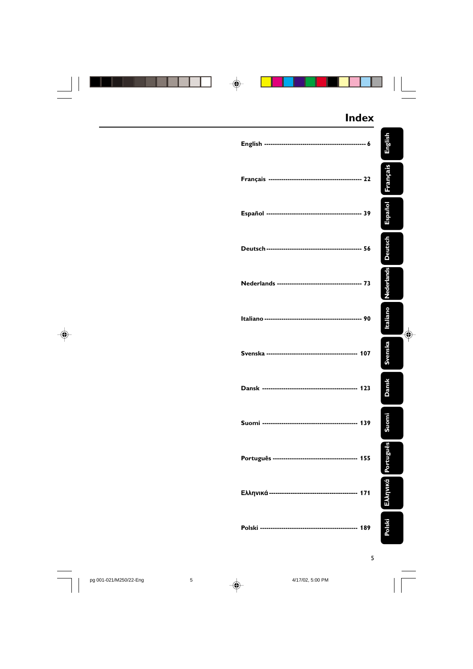|  |                                                           | <b>Index</b> |                      |
|--|-----------------------------------------------------------|--------------|----------------------|
|  |                                                           |              | English              |
|  |                                                           |              | Français             |
|  |                                                           |              | Español              |
|  |                                                           |              | <b>Deutsch</b>       |
|  |                                                           |              | <b>Nederlands</b>    |
|  |                                                           |              | <b>Italiano</b><br>⊕ |
|  |                                                           |              | <b>Svenska</b>       |
|  |                                                           |              | <b>Dansk</b>         |
|  | Suomi ------------------------                            | -- 139       | ikuon<br>ğ           |
|  |                                                           |              |                      |
|  |                                                           |              | Eλληνικά Português   |
|  |                                                           |              | Polski               |
|  |                                                           | 5            |                      |
|  | pg 001-021/M250/22-Eng<br>$\,$ 5 $\,$<br>4/17/02, 5:00 PM |              |                      |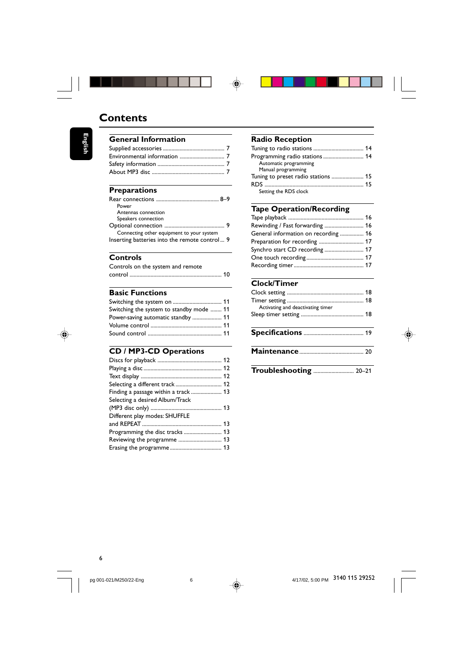# $\bigoplus$



**English**

◈

| <b>General Information</b> |  |
|----------------------------|--|
|                            |  |
|                            |  |
|                            |  |
|                            |  |

## **Preparations**

| Power                                         |
|-----------------------------------------------|
| Antennas connection                           |
| Speakers connection                           |
|                                               |
| Connecting other equipment to your system     |
| Inserting batteries into the remote control 9 |

## **Controls**

| Controls on the system and remote |  |
|-----------------------------------|--|
|                                   |  |

## **Basic Functions**

| Switching the system to standby mode  11 |  |
|------------------------------------------|--|
| Power-saving automatic standby  11       |  |
|                                          |  |
|                                          |  |

## **CD / MP3-CD Operations**

| Finding a passage within a track  13 |
|--------------------------------------|
|                                      |
|                                      |
|                                      |
|                                      |
| Programming the disc tracks  13      |
|                                      |
|                                      |
|                                      |

# **Radio Reception**

| Programming radio stations  14      |  |
|-------------------------------------|--|
| Automatic programming               |  |
| Manual programming                  |  |
| Tuning to preset radio stations  15 |  |
| RDS ………………………………………………………… 15       |  |
| Setting the RDS clock               |  |
|                                     |  |

# **Tape Operation/Recording**

| Rewinding / Fast forwarding  16      |  |
|--------------------------------------|--|
| General information on recording  16 |  |
| Preparation for recording  17        |  |
| Synchro start CD recording  17       |  |
|                                      |  |
|                                      |  |
|                                      |  |

# **Clock/Timer**

| Activating and deactivating timer |  |
|-----------------------------------|--|
|                                   |  |
|                                   |  |

```
Maintenance.............................................. 20
```

| Troubleshooting  20-21 |  |  |
|------------------------|--|--|
|------------------------|--|--|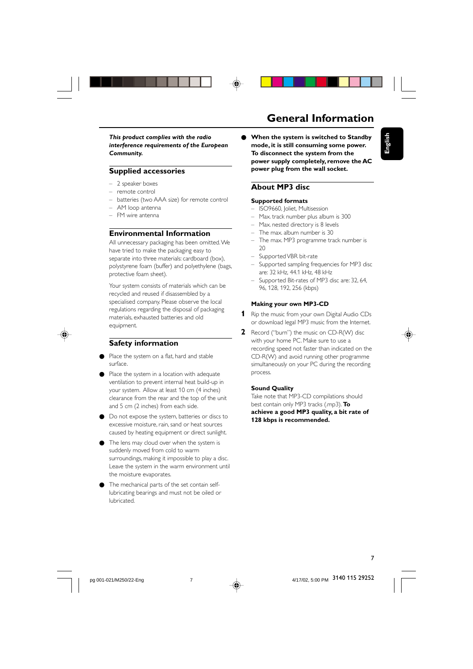

# **General Information**

*This product complies with the radio interference requirements of the European Community.*

## **Supplied accessories**

- 2 speaker boxes
- remote control
- batteries (two AAA size) for remote control
- AM loop antenna
- FM wire antenna

### **Environmental Information**

All unnecessary packaging has been omitted. We have tried to make the packaging easy to separate into three materials: cardboard (box), polystyrene foam (buffer) and polyethylene (bags, protective foam sheet).

Your system consists of materials which can be recycled and reused if disassembled by a specialised company. Please observe the local regulations regarding the disposal of packaging materials, exhausted batteries and old equipment.

# **Safety information**

- Place the system on a flat, hard and stable surface.
- Place the system in a location with adequate ventilation to prevent internal heat build-up in your system. Allow at least 10 cm (4 inches) clearance from the rear and the top of the unit and 5 cm (2 inches) from each side.
- Do not expose the system, batteries or discs to excessive moisture, rain, sand or heat sources caused by heating equipment or direct sunlight.
- The lens may cloud over when the system is suddenly moved from cold to warm surroundings, making it impossible to play a disc. Leave the system in the warm environment until the moisture evaporates.
- The mechanical parts of the set contain selflubricating bearings and must not be oiled or lubricated.

● **When the system is switched to Standby mode, it is still consuming some power. To disconnect the system from the power supply completely, remove the AC power plug from the wall socket.**

## **About MP3 disc**

#### **Supported formats**

- ISO9660, Joliet, Multisession
- Max. track number plus album is 300
- Max. nested directory is 8 levels
- The max album number is 30
- The max. MP3 programme track number is  $20$
- Supported VBR bit-rate
- Supported sampling frequencies for MP3 disc are: 32 kHz, 44.1 kHz, 48 kHz
- Supported Bit-rates of MP3 disc are: 32, 64, 96, 128, 192, 256 (kbps)

## **Making your own MP3-CD**

- **1** Rip the music from your own Digital Audio CDs or download legal MP3 music from the Internet.
- **2** Record ("burn") the music on CD-R(W) disc with your home PC. Make sure to use a recording speed not faster than indicated on the CD-R(W) and avoid running other programme simultaneously on your PC during the recording process.

#### **Sound Quality**

Take note that MP3-CD compilations should best contain only MP3 tracks (.mp3). **To achieve a good MP3 quality, a bit rate of 128 kbps is recommended.**

**English**

3140 115 29252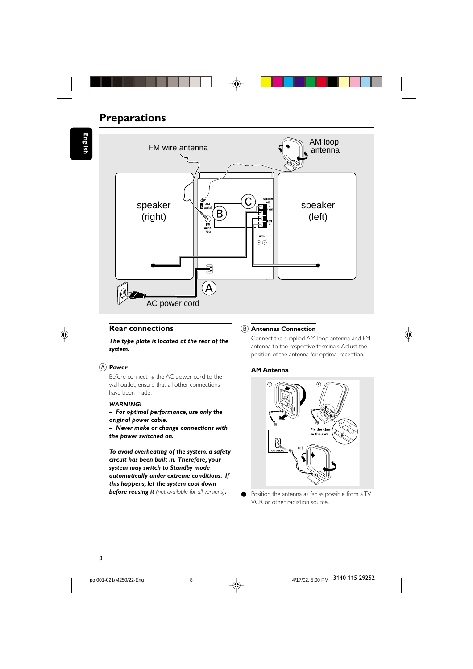# **Preparations**







## **Rear connections**

*The type plate is located at the rear of the system.*

#### A **Power**

Before connecting the AC power cord to the wall outlet, ensure that all other connections have been made.

#### *WARNING!*

- *For optimal performance, use only the*
- *original power cable.*

*– Never make or change connections with the power switched on.*

*To avoid overheating of the system, a safety circuit has been built in. Therefore, your system may switch to Standby mode automatically under extreme conditions. If this happens, let the system cool down before reusing it (not available for all versions).*

#### B **Antennas Connection**

Connect the supplied AM loop antenna and FM antenna to the respective terminals. Adjust the position of the antenna for optimal reception.

#### **AM Antenna**



Position the antenna as far as possible from a TV, VCR or other radiation source.

pg 001-021/M250/22-Eng 4/17/02. 8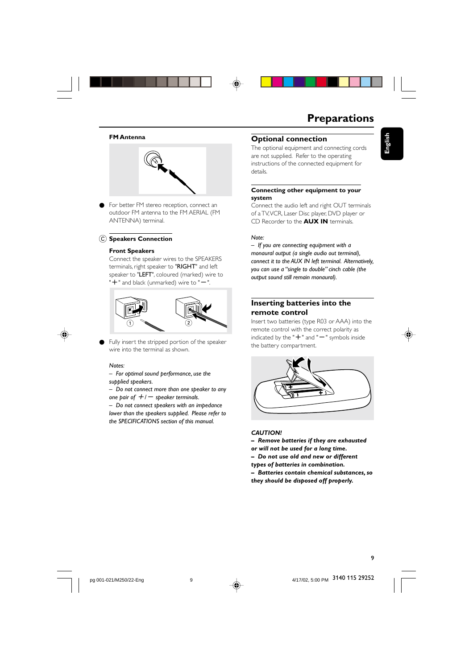



# **Preparations**

**English**

#### **FM Antenna**



● For better FM stereo reception, connect an outdoor FM antenna to the FM AERIAL (FM ANTENNA) terminal.

## C **Speakers Connection**

#### **Front Speakers**

Connect the speaker wires to the SPEAKERS terminals, right speaker to "RIGHT" and left speaker to "LEFT", coloured (marked) wire to " $+$ " and black (unmarked) wire to " $-$ ".



Fully insert the stripped portion of the speaker wire into the terminal as shown.

#### *Notes:*

*– For optimal sound performance, use the supplied speakers.*

*– Do not connect more than one speaker to any one pair of*  $+/-$  *speaker terminals.* 

*– Do not connect speakers with an impedance lower than the speakers supplied. Please refer to the SPECIFICATIONS section of this manual.*

## **Optional connection**

The optional equipment and connecting cords are not supplied. Refer to the operating instructions of the connected equipment for details.

#### **Connecting other equipment to your system**

Connect the audio left and right OUT terminals of a TV, VCR, Laser Disc player, DVD player or CD Recorder to the **AUX IN** terminals.

#### *Note:*

*– If you are connecting equipment with a monaural output (a single audio out terminal), connect it to the AUX IN left terminal. Alternatively, you can use a "single to double" cinch cable (the output sound still remain monaural).*

## **Inserting batteries into the remote control**

Insert two batteries (type R03 or AAA) into the remote control with the correct polarity as indicated by the " $+$ " and " $-$ " symbols inside the battery compartment.



#### *CAUTION!*

*– Remove batteries if they are exhausted or will not be used for a long time. – Do not use old and new or different types of batteries in combination. – Batteries contain chemical substances, so they should be disposed off properly.*

3140 115 29252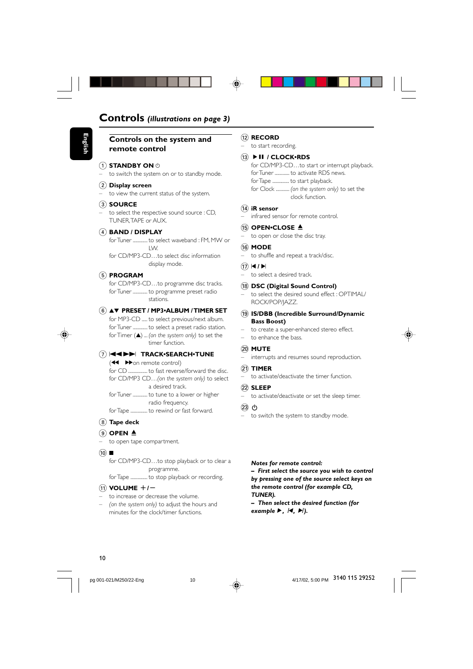# **Controls** *(illustrations on page 3)*



## **Controls on the system and remote control**

# 1 **STANDBY ON** y

to switch the system on or to standby mode.

## 2 **Display screen**

to view the current status of the system.

#### 3 **SOURCE**

– to select the respective sound source : CD, TUNER, TAPE or AUX.

#### 4 **BAND / DISPLAY**

for Tuner ............. to select waveband : FM, MW or LW.

for CD/MP3-CD…to select disc information display mode.

#### 5 **PROGRAM**

for CD/MP3-CD…to programme disc tracks. for Tuner ............. to programme preset radio stations.

#### 6 34 **PRESET / MP3•ALBUM / TIMER SET** for MP3-CD ..... to select previous/next album. for Tuner ............. to select a preset radio station. for Timer (3) ... *(on the system only)* to set the timer function.

#### **7 HAPP TRACK•SEARCH•TUNE**

 $(44$   $\blacktriangleright$   $\blacktriangleright$  on remote control)

for CD ................. to fast reverse/forward the disc. for CD/MP3 CD…*(on the system only)* to select a desired track.

for Tuner ............. to tune to a lower or higher radio frequency.

for Tape ............... to rewind or fast forward.

#### 8 **Tape deck**

#### 9 **OPEN** ç

to open tape compartment.

 $\circledcirc$   $\blacksquare$ 

for CD/MP3-CD…to stop playback or to clear a programme.

for Tape ............... to stop playback or recording.

#### $(n)$  **VOLUME**  $+/-$

– to increase or decrease the volume.

– *(on the system only)* to adjust the hours and minutes for the clock/timer functions.

#### @ **RECORD**

to start recording.

#### $(13)$  ► II / CLOCK•RDS

for CD/MP3-CD…to start or interrupt playback. for Tuner ............. to activate RDS news. for Tape ............... to start playback.

- for Clock ............ *(on the system only)* to set the
- clock function.

#### \$ **iR sensor**

– infrared sensor for remote control.

#### **(15) OPEN∙CLOSE ≜**

to open or close the disc tray.

## ^ **MODE**

– to shuffle and repeat a track/disc.

## $\textcircled{17}$   $\textup{M}$  /  $\textup{M}$

to select a desired track.

#### $(18)$  DSC (Digital Sound Control)

to select the desired sound effect : OPTIMAL/ ROCK/POP/JAZZ.

#### ( **IS/DBB (Incredible Surround/Dynamic Bass Boost)**

- to create a super-enhanced stereo effect.
- to enhance the bass.

#### ) **MUTE**

– interrupts and resumes sound reproduction.

## ¡ **TIMER**

– to activate/deactivate the timer function.

#### ™ **SLEEP**

– to activate/deactivate or set the sleep timer.

## $(23)$  ტ

to switch the system to standby mode.

#### *Notes for remote control:*

*– First select the source you wish to control by pressing one of the source select keys on the remote control (for example CD, TUNER).*

*– Then select the desired function (for example* ▶,  $\overline{A}$ *, ▶).* 

10

pg 001-021/M250/22-Eng 40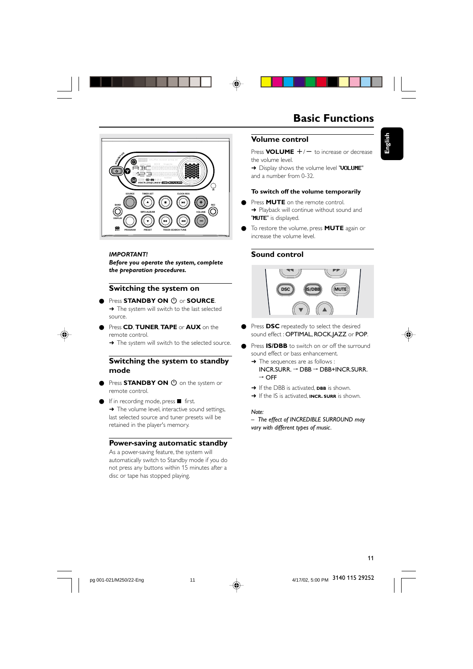

## *IMPORTANT!*

*Before you operate the system, complete the preparation procedures.*

## **Switching the system on**

- **Press STANDBY ON**  $\bigcirc$  **or SOURCE.** → The system will switch to the last selected source.
- Press **CD, TUNER, TAPE** or **AUX** on the remote control.

→ The system will switch to the selected source.

## **Switching the system to standby mode**

- Press **STANDBY ON**  $\bigcirc$  on the system or remote control.
- If in recording mode, press  $\blacksquare$  first. → The volume level, interactive sound settings, last selected source and tuner presets will be retained in the player's memory.

#### **Power-saving automatic standby**

As a power-saving feature, the system will automatically switch to Standby mode if you do not press any buttons within 15 minutes after a disc or tape has stopped playing.

# **Basic Functions**

**English**

## **Volume control**

Press **VOLUME**  $+/-$  to increase or decrease the volume level. → Display shows the volume level "VOLUME"

and a number from 0-32.

#### **To switch off the volume temporarily**

- **Press MUTE** on the remote control. **→** Playback will continue without sound and "MUTE" is displayed.
- To restore the volume, press **MUTE** again or increase the volume level.

## **Sound control**



- **•** Press **DSC** repeatedly to select the desired sound effect : OPTIMAL, ROCK, JAZZ or POP.
- **•** Press **IS/DBB** to switch on or off the surround sound effect or bass enhancement.
	- → The sequences are as follows :  $INCR.SURR. \rightarrow DBB \rightarrow DBB + INCR.SURR.$  $\rightarrow$  OFF
	- → If the DBB is activated, DBB is shown.
	- **→** If the IS is activated, **INCR. SURR** is shown.

#### *Note:*

*– The effect of INCREDIBLE SURROUND may vary with different types of music.*

3140 115 29252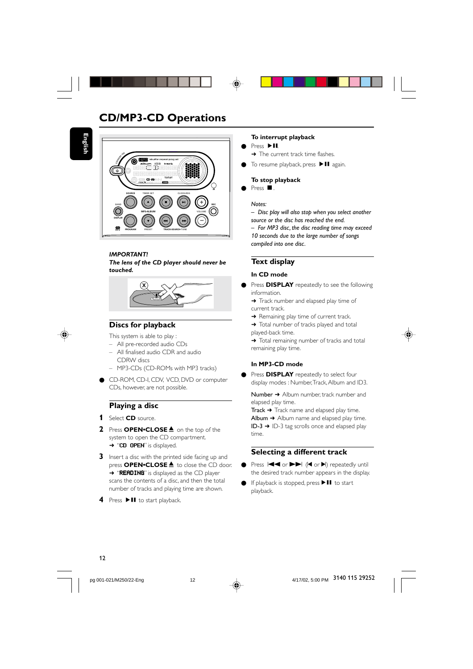# **CD/MP3-CD Operations**

**English**



## *IMPORTANT!*

*The lens of the CD player should never be touched.*



## **Discs for playback**

This system is able to play :

- All pre-recorded audio CDs
- All finalised audio CDR and audio CDRW discs
- MP3-CDs (CD-ROMs with MP3 tracks)
- CD-ROM, CD-I, CDV, VCD, DVD or computer CDs, however, are not possible.

## **Playing a disc**

- **1** Select **CD** source.
- **2** Press **OPEN**•CLOSE <sup>△</sup> on the top of the system to open the CD compartment. → "CD OPEN" is displayed.
- **3** Insert a disc with the printed side facing up and press **OPEN•CLOSE**<sup>*⁄*</sup> to close the CD door. → "READING" is displayed as the CD player scans the contents of a disc, and then the total number of tracks and playing time are shown.
- **4** Press  $\blacktriangleright$  **II** to start playback.

#### **To interrupt playback**

- Press ▶ **II**. → The current track time flashes.
- To resume playback, press  $\blacktriangleright$  II again.

## **To stop playback**

Press  $\blacksquare$ .

#### *Notes:*

*– Disc play will also stop when you select another source or the disc has reached the end.*

*– For MP3 disc, the disc reading time may exceed 10 seconds due to the large number of songs compiled into one disc.*

## **Text display**

### **In CD mode**

● Press **DISPLAY** repeatedly to see the following information.

→ Track number and elapsed play time of current track.

- **→** Remaining play time of current track.
- → Total number of tracks played and total

played-back time.

→ Total remaining number of tracks and total remaining play time.

## **In MP3-CD mode**

Press **DISPLAY** repeatedly to select four display modes : Number, Track, Album and ID3.

Number → Album number, track number and elapsed play time.

Track → Track name and elapsed play time. Album  $\rightarrow$  Album name and elapsed play time. ID-3 ➜ ID-3 tag scrolls once and elapsed play time.

## **Selecting a different track**

- Press  $\blacktriangleright$  or  $\blacktriangleright$  ( $\blacktriangleleft$  or  $\blacktriangleright$ ) repeatedly until the desired track number appears in the display.
- If playback is stopped, press  $\blacktriangleright$  **II** to start playback.

pg 001-021/M250/22-Eng 4/12

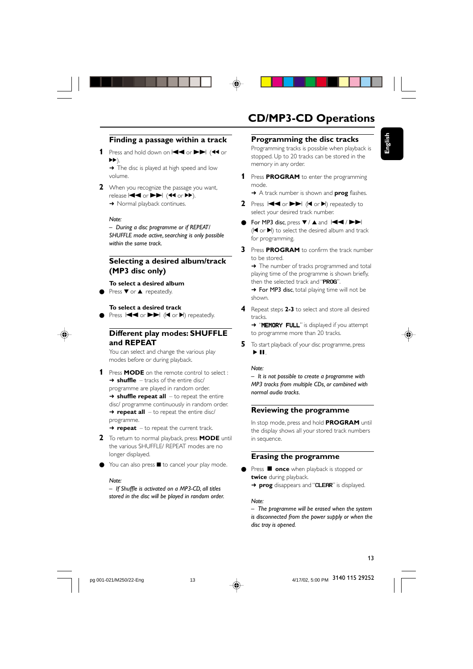## **Finding a passage within a track**

**1** Press and hold down on  $\blacktriangleleft$  or  $\blacktriangleright$  (44 or  $\blacktriangleright\blacktriangleright)$ 

→ The disc is played at high speed and low volume.

**2** When you recognize the passage you want, release  $\blacktriangleleft$  or  $\blacktriangleright$   $\blacktriangleright$  (44 or  $\blacktriangleright$ ). → Normal playback continues.

#### *Note:*

*– During a disc programme or if REPEAT/ SHUFFLE mode active, searching is only possible within the same track.*

## **Selecting a desired album/track (MP3 disc only)**

# **To select a desired album**

Press  $\blacktriangledown$  or  $\blacktriangle$  repeatedly.

**To select a desired track**

# Press  $\blacktriangleright$  or  $\blacktriangleright$  ( $\blacktriangleleft$  or  $\blacktriangleright$ ) repeatedly.

## **Different play modes: SHUFFLE and REPEAT**

You can select and change the various play modes before or during playback.

**1** Press **MODE** on the remote control to select : **→ shuffle** – tracks of the entire disc/ programme are played in random order. **→ shuffle repeat all** – to repeat the entire disc/ programme continuously in random order. **→ repeat all** – to repeat the entire disc/ programme.

**→ repeat** – to repeat the current track.

- **2** To return to normal playback, press **MODE** until the various SHUFFLE/ REPEAT modes are no longer displayed.
- You can also press to cancel your play mode.

#### *Note:*

*– If Shuffle is activated on a MP3-CD, all titles stored in the disc will be played in random order.*

# **CD/MP3-CD Operations**

#### **Programming the disc tracks**

Programming tracks is possible when playback is stopped. Up to 20 tracks can be stored in the memory in any order.

**1** Press **PROGRAM** to enter the programming mode.

**→** A track number is shown and **prog** flashes.

- **2** Press  $|\blacktriangleleft \blacktriangleleft$  or  $|\blacktriangleright|$  ( $|\blacktriangleleft$  or  $|\blacktriangleright|$ ) repeatedly to select your desired track number.
- **•** For MP3 disc, press  $\blacktriangledown$  /  $\blacktriangle$  and  $\blacktriangleright$   $\blacktriangleright$  $(\blacktriangleleft$  or  $\blacktriangleright)$  to select the desired album and track for programming.
- **3** Press **PROGRAM** to confirm the track number to be stored.

→ The number of tracks programmed and total playing time of the programme is shown briefly, then the selected track and "PROG".

→ For MP3 disc, total playing time will not be shown.

**4** Repeat steps **2-3** to select and store all desired tracks. → "MEMORY FULL" is displayed if you attempt

to programme more than 20 tracks.

**5** To start playback of your disc programme, press  $\blacktriangleright$  II.

#### *Note:*

*– It is not possible to create a programme with MP3 tracks from multiple CDs, or combined with normal audio tracks.*

## **Reviewing the programme**

In stop mode, press and hold **PROGRAM** until the display shows all your stored track numbers in sequence.

#### **Erasing the programme**

● Press ■ once when playback is stopped or **twice** during playback. **→ prog** disappears and "**CLEAR**" is displayed.

#### *Note:*



*<sup>–</sup> The programme will be erased when the system is disconnected from the power supply or when the disc tray is opened.*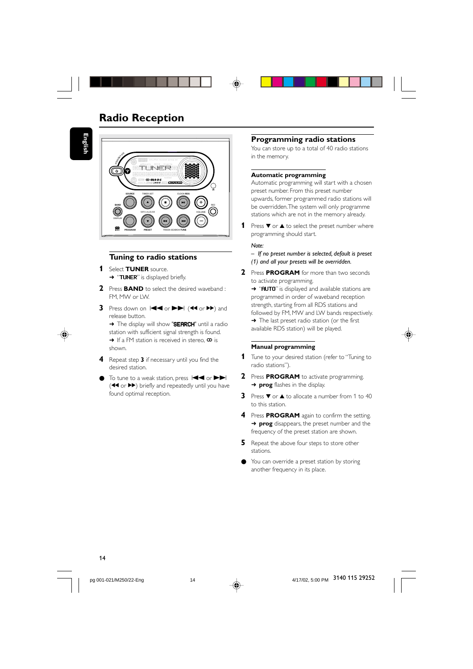# **Radio Reception**

**English**



## **Tuning to radio stations**

- **1** Select **TUNER** source. → "TUNER" is displayed briefly.
- **2** Press **BAND** to select the desired waveband : FM, MW or LW.
- **3** Press down on  $|\blacktriangleleft \blacktriangleleft$  or  $\rightharpoonup \blacktriangleright$  ( $\blacktriangleleft \blacktriangleleft$  or  $\rightharpoonup \blacktriangleright$ ) and release button.

→ The display will show "SEARCH" until a radio station with sufficient signal strength is found.  $\rightarrow$  If a FM station is received in stereo,  $\infty$  is shown.

- **4** Repeat step **3** if necessary until you find the desired station.
- To tune to a weak station, press  $\blacktriangleright$  or  $\blacktriangleright$  $(44$  or  $\blacktriangleright$ ) briefly and repeatedly until you have found optimal reception.

## **Programming radio stations**

You can store up to a total of 40 radio stations in the memory.

## **Automatic programming**

Automatic programming will start with a chosen preset number. From this preset number upwards, former programmed radio stations will be overridden. The system will only programme stations which are not in the memory already.

1 Press  $\blacktriangledown$  or  $\blacktriangle$  to select the preset number where programming should start.

#### *Note:*

*– If no preset number is selected, default is preset (1) and all your presets will be overridden.*

**2** Press **PROGRAM** for more than two seconds to activate programming.

→ "AUTO" is displayed and available stations are programmed in order of waveband reception strength, starting from all RDS stations and followed by FM, MW and LW bands respectively. → The last preset radio station (or the first available RDS station) will be played.

#### **Manual programming**

- **1** Tune to your desired station (refer to "Tuning to radio stations").
- **2** Press **PROGRAM** to activate programming. **→ prog** flashes in the display.
- **3** Press  $\blacktriangledown$  or  $\blacktriangle$  to allocate a number from 1 to 40 to this station.
- **4** Press **PROGRAM** again to confirm the setting. **→ prog** disappears, the preset number and the frequency of the preset station are shown.
- **5** Repeat the above four steps to store other stations.
- You can override a preset station by storing another frequency in its place.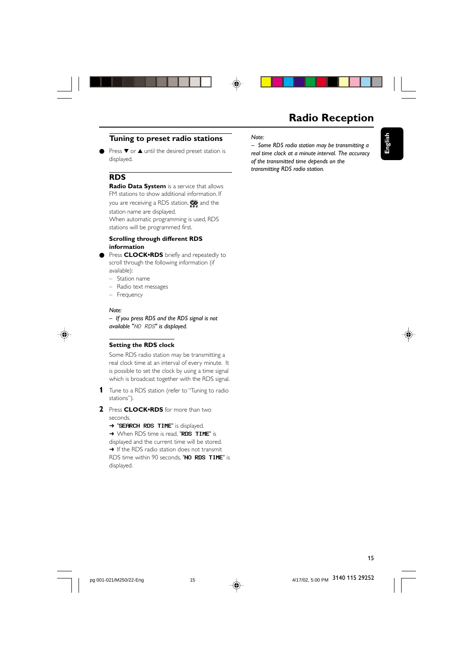



## **Tuning to preset radio stations**

● Press ▼ or ▲ until the desired preset station is displayed.

## **RDS**

**Radio Data System** is a service that allows FM stations to show additional information. If you are receiving a RDS station,  $\mathcal{Q}_s$  and the station name are displayed. When automatic programming is used, RDS

stations will be programmed first.

#### **Scrolling through different RDS information**

Press **CLOCK**•RDS briefly and repeatedly to scroll through the following information (if available):

- Station name
- Radio text messages
- Frequency

#### *Note:*

*– If you press RDS and the RDS signal is not available "*NO RDS*" is displayed.*



## **Setting the RDS clock**

Some RDS radio station may be transmitting a real clock time at an interval of every minute. It is possible to set the clock by using a time signal which is broadcast together with the RDS signal.

- **1** Tune to a RDS station (refer to "Tuning to radio stations").
- **2** Press **CLOCK•RDS** for more than two seconds.

→ "SEARCH RDS TIME" is displayed.

→ When RDS time is read, "RDS TIME" is displayed and the current time will be stored.

→ If the RDS radio station does not transmit

RDS time within 90 seconds, "NO RDS TIME" is displayed.

## *Note:*

*– Some RDS radio station may be transmitting a real time clock at a minute interval. The accuracy of the transmitted time depends on the transmitting RDS radio station.*

**English**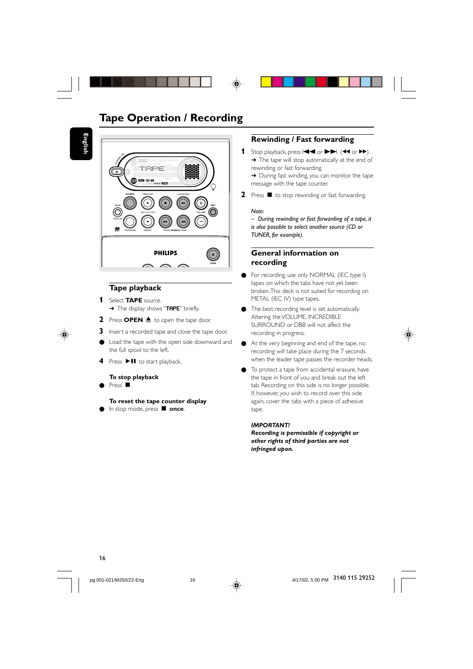# **Tape Operation / Recording**

**English**



## **Tape playback**

**1** Select **TAPE** source. → The display shows "TAPE" briefly.

**2** Press **OPEN ≜** to open the tape door.

- **3** Insert a recorded tape and close the tape door.
- Load the tape with the open side downward and the full spool to the left.
- **4** Press ▶Ⅱ to start playback.

**To stop playback** Press ■

**To reset the tape counter display**

In stop mode, press **D** once.

## **Rewinding / Fast forwarding**

**1** Stop playback, press  $\blacktriangleleft$  or  $\blacktriangleright$   $\blacktriangleright$   $(\blacktriangleleft \blacktriangleleft$  or  $\blacktriangleright \blacktriangleright)$ . → The tape will stop automatically at the end of rewinding or fast forwarding.

→ During fast winding, you can monitor the tape message with the tape counter.

**2** Press **I** to stop rewinding or fast forwarding.

#### *Note:*

*– During rewinding or fast forwarding of a tape, it is also possible to select another source (CD or TUNER, for example).*

## **General information on recording**

- For recording, use only NORMAL (IEC type I) tapes on which the tabs have not yet been broken. This deck is not suited for recording on METAL (IEC IV) type tapes.
- The best recording level is set automatically. Altering the VOLUME, INCREDIBLE SURROUND or DBB will not affect the recording in progress.
- At the very beginning and end of the tape, no recording will take place during the 7 seconds when the leader tape passes the recorder heads.
- To protect a tape from accidental erasure, have the tape in front of you and break out the left tab. Recording on this side is no longer possible. If, however, you wish to record over this side again, cover the tabs with a piece of adhesive tape.

#### *IMPORTANT!*

*Recording is permissible if copyright or other rights of third parties are not infringed upon.*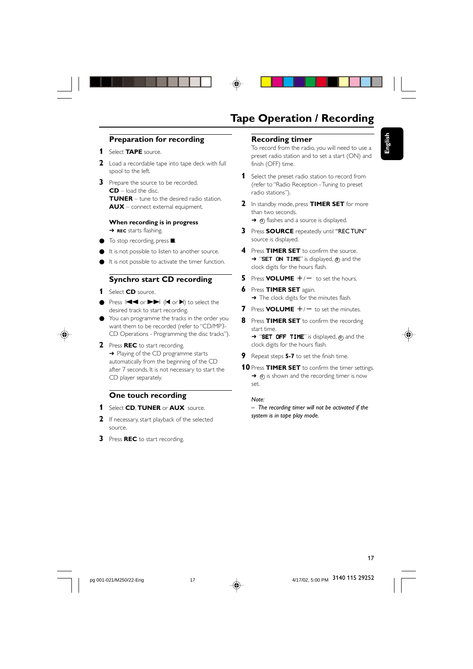



## **Preparation for recording**

- **1** Select **TAPE** source.
- **2** Load a recordable tape into tape deck with full spool to the left.
- **3** Prepare the source to be recorded. **CD** – load the disc. **TUNER** – tune to the desired radio station. **AUX** – connect external equipment.

#### **When recording is in progress** ➜ **REC** starts flashing.

- To stop recording, press  $\blacksquare$ .
- It is not possible to listen to another source.
- It is not possible to activate the timer function.

## **Synchro start CD recording**

- **1** Select **CD** source.
- Press  $\left| \blacktriangleleft \blacktriangleleft \right|$  or  $\blacktriangleright$  ( $\blacktriangleleft$  or  $\blacktriangleright$ ) to select the desired track to start recording.
- You can programme the tracks in the order you want them to be recorded (refer to "CD/MP3- CD Operations - Programming the disc tracks").
- **2** Press **REC** to start recording. → Playing of the CD programme starts automatically from the beginning of the CD after 7 seconds. It is not necessary to start the CD player separately.

## **One touch recording**

- **1** Select **CD**, **TUNER** or **AUX** source.
- **2** If necessary, start playback of the selected source.
- **3** Press **REC** to start recording.

## **Recording timer**

To record from the radio, you will need to use a preset radio station and to set a start (ON) and finish (OFF) time.

- **1** Select the preset radio station to record from (refer to "Radio Reception - Tuning to preset radio stations").
- **2** In standby mode, press **TIMER SET** for more than two seconds.

→ ① flashes and a source is displayed.

- **3** Press **SOURCE** repeatedly until "REC TUN" source is displayed.
- **4** Press **TIMER SET** to confirm the source. → "SET ON TIME" is displayed, 4; and the clock digits for the hours flash.
- **5** Press **VOLUME**  $+/-$  to set the hours.
- **6** Press **TIMER SET** again. → The clock digits for the minutes flash.
- **7** Press **VOLUME**  $+/-$  to set the minutes.
- **8** Press **TIMER SET** to confirm the recording start time.

 $\rightarrow$  "SET OFF TIME" is displayed,  $\alpha$  and the clock digits for the hours flash.

**9** Repeat steps **5-7** to set the finish time.

**10** Press **TIMER SET** to confirm the timer settings.  $\rightarrow$   $\odot$  is shown and the recording timer is now set.

#### *Note:*

*– The recording timer will not be activated if the system is in tape play mode.*



**English**

3140 115 29252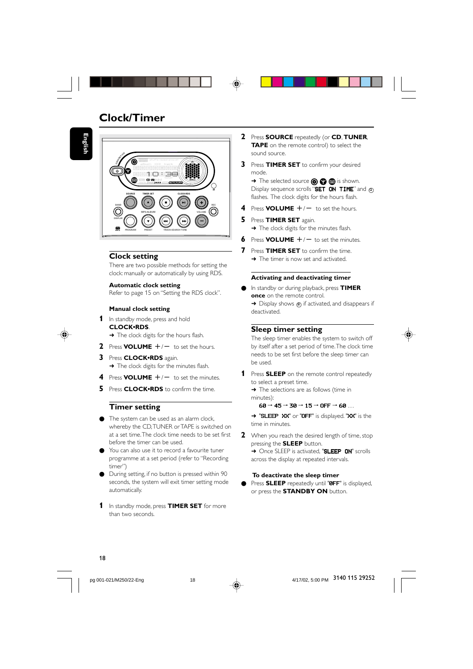# **Clock/Timer**

**English**



## **Clock setting**

There are two possible methods for setting the clock: manually or automatically by using RDS.

### **Automatic clock setting**

Refer to page 15 on "Setting the RDS clock".

#### **Manual clock setting**

- **1** In standby mode, press and hold **CLOCK•RDS**. → The clock digits for the hours flash.
- **2** Press **VOLUME**  $+/-$  to set the hours.
- 
- **3** Press **CLOCK•RDS** again. → The clock digits for the minutes flash.
- **4** Press **VOLUME**  $+/-$  to set the minutes.
- **5** Press **CLOCK•RDS** to confirm the time.

## **Timer setting**

- The system can be used as an alarm clock, whereby the CD, TUNER or TAPE is switched on at a set time. The clock time needs to be set first before the timer can be used.
- You can also use it to record a favourite tuner programme at a set period (refer to "Recording timer")
- During setting, if no button is pressed within 90 seconds, the system will exit timer setting mode automatically.
- **1** In standby mode, press **TIMER SET** for more than two seconds.
- **2** Press **SOURCE** repeatedly (or **CD**, **TUNER**, **TAPE** on the remote control) to select the sound source.
- **3** Press **TIMER SET** to confirm your desired mode.

→ The selected source **o ?** · is shown. Display sequence scrolls "SET ON TIME" and  $\langle 4 \rangle$ flashes. The clock digits for the hours flash.

- $4$  Press **VOLUME**  $+/-$  to set the hours.
- **5** Press **TIMER SET** again.
	- → The clock digits for the minutes flash.
- **6** Press **VOLUME**  $+/-$  to set the minutes.
- **7** Press **TIMER SET** to confirm the time.  $\rightarrow$  The timer is now set and activated.

#### **Activating and deactivating timer**

● In standby or during playback, press **TIMER once** on the remote control.  $\rightarrow$  Display shows  $\alpha$  if activated, and disappears if deactivated.

#### **Sleep timer setting**

The sleep timer enables the system to switch off by itself after a set period of time. The clock time needs to be set first before the sleep timer can be used.

**1** Press **SLEEP** on the remote control repeatedly to select a preset time. → The selections are as follows (time in minutes):

#### 60  $\rightarrow$  45  $\rightarrow$  30  $\rightarrow$  15  $\rightarrow$  OFF  $\rightarrow$  60 ...

→ "SLEEP XX" or "OFF" is displayed. "XX" is the time in minutes.

**2** When you reach the desired length of time, stop pressing the **SLEEP** button. → Once SLEEP is activated, "SLEEP ON" scrolls across the display at repeated intervals.

#### **To deactivate the sleep timer**

Press **SLEEP** repeatedly until "**0FF**" is displayed, or press the **STANDBY ON** button.

pg 001-021/M250/22-Eng 4/18



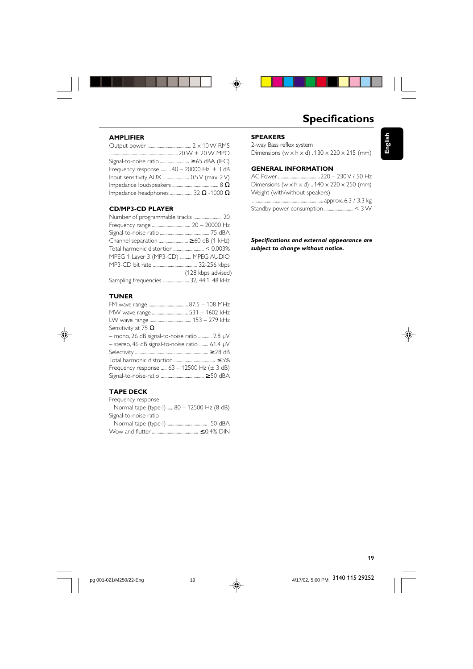



## **AMPLIFIER**

| Signal-to-noise ratio  ≥ 65 dBA (IEC)            |  |
|--------------------------------------------------|--|
| Frequency response $40 - 20000$ Hz, $\pm 3$ dB   |  |
| Input sensitivity AUX  0.5 V (max. 2 V)          |  |
|                                                  |  |
| Impedance headphones  32 $\Omega$ -1000 $\Omega$ |  |

## **CD/MP3-CD PLAYER**

| Channel separation  ≥ 60 dB (1 kHz)    |                    |
|----------------------------------------|--------------------|
|                                        |                    |
| MPEG 1 Layer 3 (MP3-CD)  MPEG AUDIO    |                    |
|                                        |                    |
|                                        | (128 kbps advised) |
| Sampling frequencies  32, 44.1, 48 kHz |                    |

#### **TUNER**

| Sensitivity at 75 $\Omega$                       |
|--------------------------------------------------|
| - mono, 26 dB signal-to-noise ratio  2.8 µV      |
| - stereo, 46 dB signal-to-noise ratio  61.4 µV   |
|                                                  |
|                                                  |
| Frequency response $63 - 12500$ Hz ( $\pm$ 3 dB) |
|                                                  |
|                                                  |

## **TAPE DECK**

| Frequency response                        |  |
|-------------------------------------------|--|
| Normal tape (type I) 80 - 12500 Hz (8 dB) |  |
| Signal-to-noise ratio                     |  |
|                                           |  |
|                                           |  |

# **Specifications**

## **SPEAKERS**

2-way Bass reflex system Dimensions (w  $\times$  h  $\times$  d)  $.130 \times 220 \times 215$  (mm)

## **GENERAL INFORMATION**

AC Power .....................................220 – 230 V / 50 Hz Dimensions (w  $\times$  h  $\times$  d) .. 140  $\times$  220  $\times$  250 (mm) Weight (with/without speakers)

............................................................... approx. 6.3 / 3.3 kg Standby power consumption .......................... < 3 W

*Specifications and external appearance are subject to change without notice.*

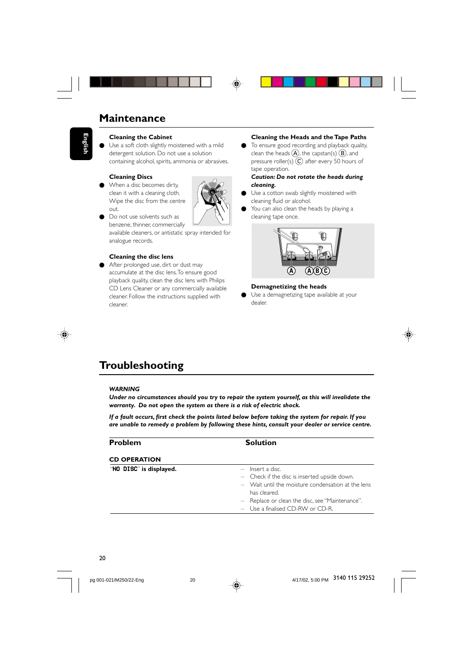# **Maintenance**



## **Cleaning the Cabinet**

Use a soft cloth slightly moistened with a mild detergent solution. Do not use a solution containing alcohol, spirits, ammonia or abrasives.

## **Cleaning Discs**

When a disc becomes dirty, clean it with a cleaning cloth. Wipe the disc from the centre out.



### **Cleaning the disc lens**

● After prolonged use, dirt or dust may accumulate at the disc lens. To ensure good playback quality, clean the disc lens with Philips CD Lens Cleaner or any commercially available cleaner. Follow the instructions supplied with cleaner.

#### **Cleaning the Heads and the Tape Paths**

● To ensure good recording and playback quality, clean the heads  $(\widehat{A})$ , the capstan(s)  $(\widehat{B})$ , and pressure roller(s)  $\overline{C}$  after every 50 hours of tape operation.

#### *Caution: Do not rotate the heads during cleaning.*

- Use a cotton swab slightly moistened with cleaning fluid or alcohol.
- You can also clean the heads by playing a cleaning tape once.



#### **Demagnetizing the heads**

● Use a demagnetizing tape available at your dealer.

# **Troubleshooting**

#### *WARNING*

*Under no circumstances should you try to repair the system yourself, as this will invalidate the warranty. Do not open the system as there is a risk of electric shock.*

*If a fault occurs, first check the points listed below before taking the system for repair. If you are unable to remedy a problem by following these hints, consult your dealer or service centre.*

| <b>Problem</b>          | Solution                                                                                                                                                                                                                        |
|-------------------------|---------------------------------------------------------------------------------------------------------------------------------------------------------------------------------------------------------------------------------|
| <b>CD OPERATION</b>     |                                                                                                                                                                                                                                 |
| "NO DISC" is displayed. | $-$ lnsert a disc.<br>- Check if the disc is inserted upside down.<br>- Wait until the moisture condensation at the lens<br>has cleared.<br>- Replace or clean the disc, see "Maintenance".<br>- Use a finalised CD-RW or CD-R. |

pg 001-021/M250/22-Eng 20 20